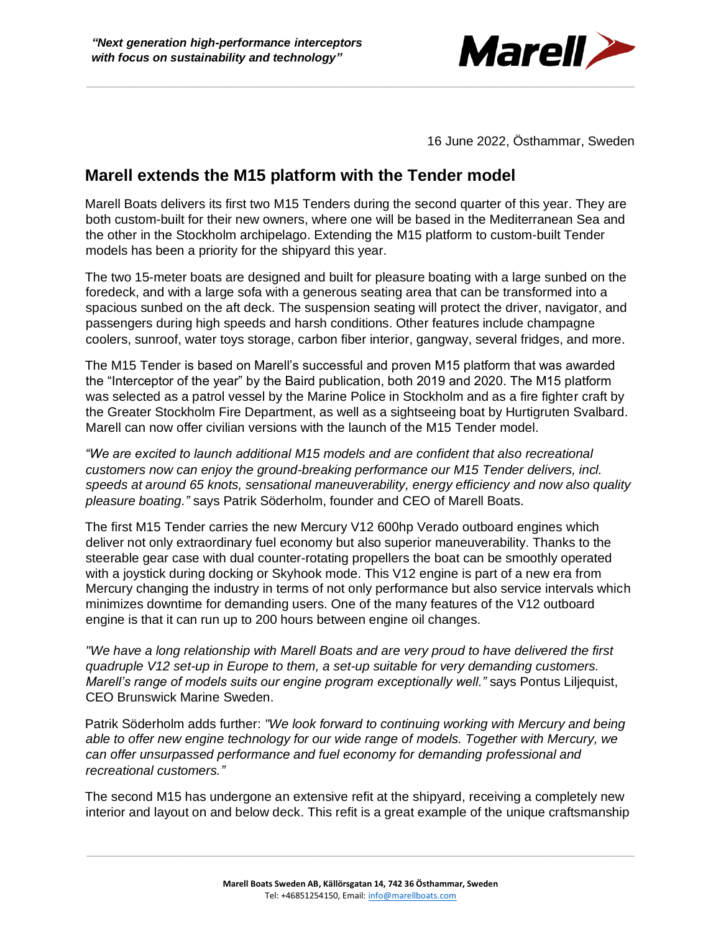

16 June 2022, Östhammar, Sweden

## **Marell extends the M15 platform with the Tender model**

Marell Boats delivers its first two M15 Tenders during the second quarter of this year. They are both custom-built for their new owners, where one will be based in the Mediterranean Sea and the other in the Stockholm archipelago. Extending the M15 platform to custom-built Tender models has been a priority for the shipyard this year.

The two 15-meter boats are designed and built for pleasure boating with a large sunbed on the foredeck, and with a large sofa with a generous seating area that can be transformed into a spacious sunbed on the aft deck. The suspension seating will protect the driver, navigator, and passengers during high speeds and harsh conditions. Other features include champagne coolers, sunroof, water toys storage, carbon fiber interior, gangway, several fridges, and more.

The M15 Tender is based on Marell's successful and proven M15 platform that was awarded the "Interceptor of the year" by the Baird publication, both 2019 and 2020. The M15 platform was selected as a patrol vessel by the Marine Police in Stockholm and as a fire fighter craft by the Greater Stockholm Fire Department, as well as a sightseeing boat by Hurtigruten Svalbard. Marell can now offer civilian versions with the launch of the M15 Tender model.

*"We are excited to launch additional M15 models and are confident that also recreational customers now can enjoy the ground-breaking performance our M15 Tender delivers, incl. speeds at around 65 knots, sensational maneuverability, energy efficiency and now also quality pleasure boating."* says Patrik Söderholm, founder and CEO of Marell Boats.

The first M15 Tender carries the new Mercury V12 600hp Verado outboard engines which deliver not only extraordinary fuel economy but also superior maneuverability. Thanks to the steerable gear case with dual counter-rotating propellers the boat can be smoothly operated with a joystick during docking or Skyhook mode. This V12 engine is part of a new era from Mercury changing the industry in terms of not only performance but also service intervals which minimizes downtime for demanding users. One of the many features of the V12 outboard engine is that it can run up to 200 hours between engine oil changes.

*"We have a long relationship with Marell Boats and are very proud to have delivered the first quadruple V12 set-up in Europe to them, a set-up suitable for very demanding customers. Marell's range of models suits our engine program exceptionally well."* says Pontus Liljequist, CEO Brunswick Marine Sweden.

Patrik Söderholm adds further: *"We look forward to continuing working with Mercury and being able to offer new engine technology for our wide range of models. Together with Mercury, we can offer unsurpassed performance and fuel economy for demanding professional and recreational customers."*

The second M15 has undergone an extensive refit at the shipyard, receiving a completely new interior and layout on and below deck. This refit is a great example of the unique craftsmanship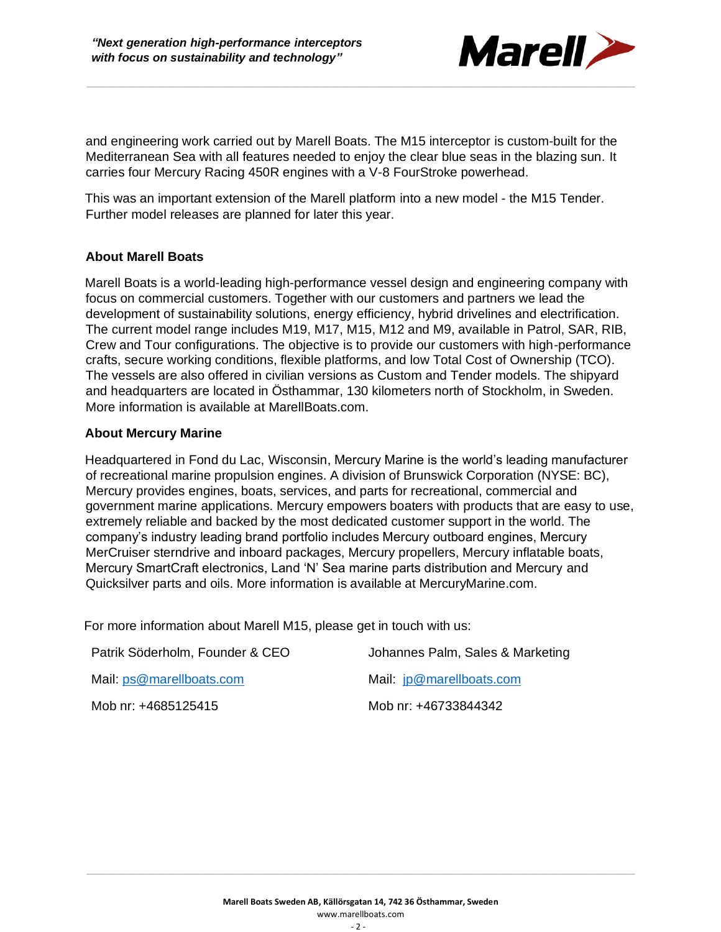

and engineering work carried out by Marell Boats. The M15 interceptor is custom-built for the Mediterranean Sea with all features needed to enjoy the clear blue seas in the blazing sun. It carries four Mercury Racing 450R engines with a V-8 FourStroke powerhead.

This was an important extension of the Marell platform into a new model - the M15 Tender. Further model releases are planned for later this year.

## **About Marell Boats**

Marell Boats is a world-leading high-performance vessel design and engineering company with focus on commercial customers. Together with our customers and partners we lead the development of sustainability solutions, energy efficiency, hybrid drivelines and electrification. The current model range includes M19, M17, M15, M12 and M9, available in Patrol, SAR, RIB, Crew and Tour configurations. The objective is to provide our customers with high-performance crafts, secure working conditions, flexible platforms, and low Total Cost of Ownership (TCO). The vessels are also offered in civilian versions as Custom and Tender models. The shipyard and headquarters are located in Östhammar, 130 kilometers north of Stockholm, in Sweden. More information is available at MarellBoats.com.

## **About Mercury Marine**

Headquartered in Fond du Lac, Wisconsin, Mercury Marine is the world's leading manufacturer of recreational marine propulsion engines. A division of Brunswick Corporation (NYSE: BC), Mercury provides engines, boats, services, and parts for recreational, commercial and government marine applications. Mercury empowers boaters with products that are easy to use, extremely reliable and backed by the most dedicated customer support in the world. The company's industry leading brand portfolio includes Mercury outboard engines, Mercury MerCruiser sterndrive and inboard packages, Mercury propellers, Mercury inflatable boats, Mercury SmartCraft electronics, Land 'N' Sea marine parts distribution and Mercury and Quicksilver parts and oils. More information is available at MercuryMarine.com.

For more information about Marell M15, please get in touch with us:

| Patrik Söderholm, Founder & CEO | Johannes Palm, Sales & Marketing |
|---------------------------------|----------------------------------|
| Mail: ps@marellboats.com        | Mail: jp@marellboats.com         |
| Mob nr: +4685125415             | Mob nr: +46733844342             |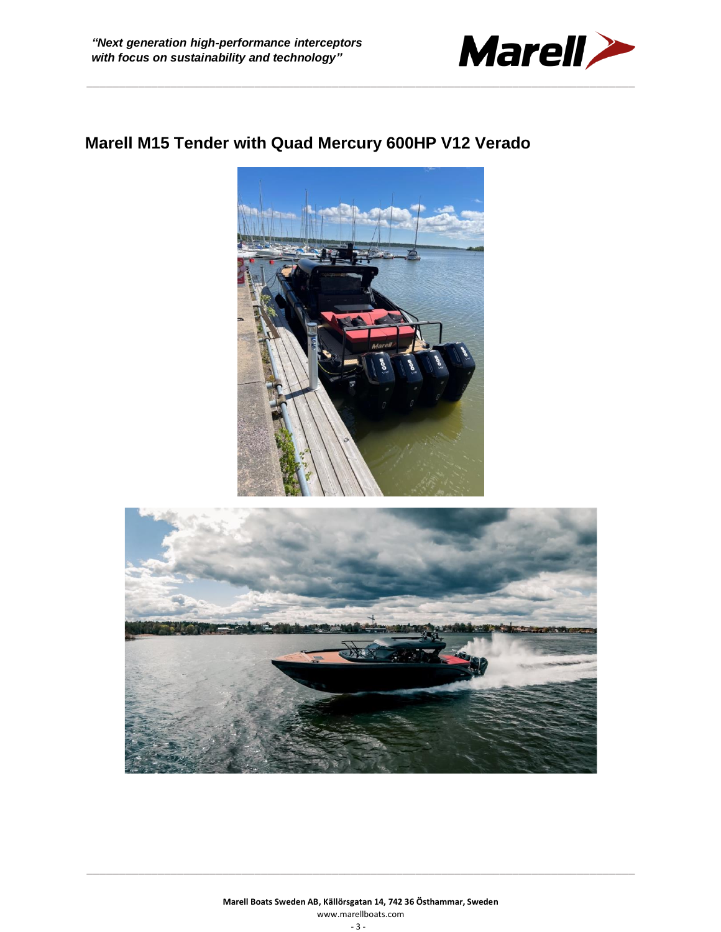

## **Marell M15 Tender with Quad Mercury 600HP V12 Verado**



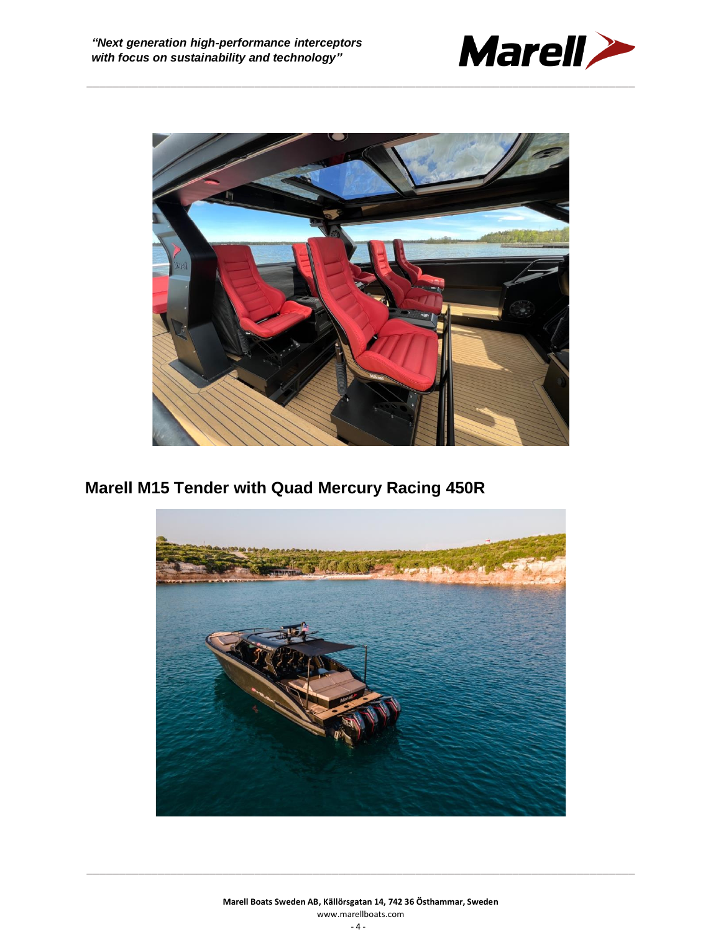



**Marell M15 Tender with Quad Mercury Racing 450R**